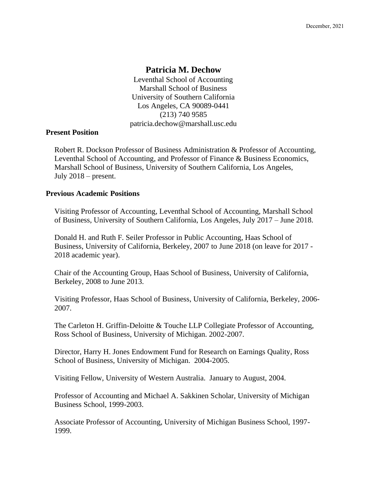# **Patricia M. Dechow**

Leventhal School of Accounting Marshall School of Business University of Southern California Los Angeles, CA 90089-0441 (213) 740 9585 patricia.dechow@marshall.usc.edu

### **Present Position**

Robert R. Dockson Professor of Business Administration & Professor of Accounting, Leventhal School of Accounting, and Professor of Finance & Business Economics, Marshall School of Business, University of Southern California, Los Angeles, July 2018 – present.

## **Previous Academic Positions**

Visiting Professor of Accounting, Leventhal School of Accounting, Marshall School of Business, University of Southern California, Los Angeles, July 2017 – June 2018.

Donald H. and Ruth F. Seiler Professor in Public Accounting, Haas School of Business, University of California, Berkeley, 2007 to June 2018 (on leave for 2017 - 2018 academic year).

Chair of the Accounting Group, Haas School of Business, University of California, Berkeley, 2008 to June 2013.

Visiting Professor, Haas School of Business, University of California, Berkeley, 2006- 2007.

The Carleton H. Griffin-Deloitte & Touche LLP Collegiate Professor of Accounting, Ross School of Business, University of Michigan. 2002-2007.

Director, Harry H. Jones Endowment Fund for Research on Earnings Quality, Ross School of Business, University of Michigan. 2004-2005.

Visiting Fellow, University of Western Australia. January to August, 2004.

Professor of Accounting and Michael A. Sakkinen Scholar, University of Michigan Business School, 1999-2003.

Associate Professor of Accounting, University of Michigan Business School, 1997- 1999.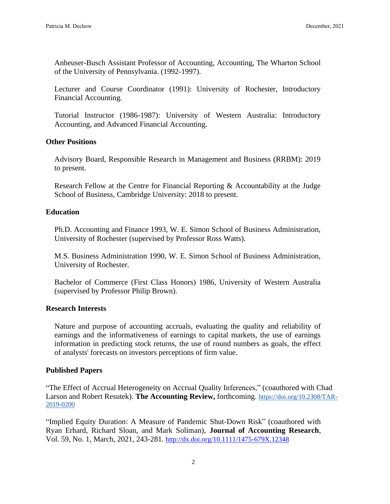Anheuser-Busch Assistant Professor of Accounting, Accounting, The Wharton School of the University of Pennsylvania. (1992-1997).

Lecturer and Course Coordinator (1991): University of Rochester, Introductory Financial Accounting.

Tutorial Instructor (1986-1987): University of Western Australia: Introductory Accounting, and Advanced Financial Accounting.

## **Other Positions**

Advisory Board, Responsible Research in Management and Business (RRBM): 2019 to present.

Research Fellow at the Centre for Financial Reporting & Accountability at the Judge School of Business, Cambridge University: 2018 to present.

#### **Education**

Ph.D. Accounting and Finance 1993, W. E. Simon School of Business Administration, University of Rochester (supervised by Professor Ross Watts).

M.S. Business Administration 1990, W. E. Simon School of Business Administration, University of Rochester.

Bachelor of Commerce (First Class Honors) 1986, University of Western Australia (supervised by Professor Philip Brown).

# **Research Interests**

Nature and purpose of accounting accruals, evaluating the quality and reliability of earnings and the informativeness of earnings to capital markets, the use of earnings information in predicting stock returns, the use of round numbers as goals, the effect of analysts' forecasts on investors perceptions of firm value.

## **Published Papers**

"The Effect of Accrual Heterogeneity on Accrual Quality Inferences," (coauthored with Chad Larson and Robert Resutek). **The Accounting Review,** forthcoming. [https://doi.org/10.2308/TAR-](https://doi.org/10.2308/TAR-2019-0200)[2019-0200](https://doi.org/10.2308/TAR-2019-0200)

"Implied Equity Duration: A Measure of Pandemic Shut-Down Risk" (coauthored with Ryan Erhard, Richard Sloan, and Mark Soliman), **Journal of Accounting Research**, Vol. 59, No. 1, March, 2021, 243-281. [http://dx.doi.org/10.1111/1475-679X.12348](https://nam04.safelinks.protection.outlook.com/?url=https%3A%2F%2Furldefense.com%2Fv3%2F__http%3A%2F%2Fdx.doi.org%2F10.1111%2F1475-679X.12348__%3B!!LIr3w8kk_Xxm!-AjxzDztH9WRViYvUmosHvKBafgu2ev3PDcnmaKaQgdtnCGBQFFUbaYaYrqiDs3Eok_aliGJZO4%24&data=04%7C01%7Cdechow%40marshall.usc.edu%7Ca4cc0b2c137c488725dd08d8d1d5442f%7Cc0ccb9c9d693495d84925136bb1940d6%7C0%7C0%7C637490061208427232%7CUnknown%7CTWFpbGZsb3d8eyJWIjoiMC4wLjAwMDAiLCJQIjoiV2luMzIiLCJBTiI6Ik1haWwiLCJXVCI6Mn0%3D%7C1000&sdata=AFIl%2FoKMQ%2FYXYZENKfln3C8K5EqjAo8ciYMPtnR%2Byr0%3D&reserved=0)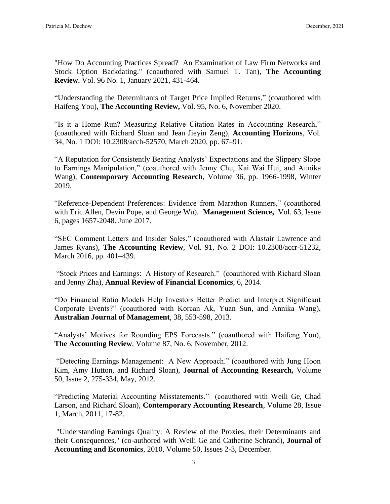"How Do Accounting Practices Spread? An Examination of Law Firm Networks and Stock Option Backdating." (coauthored with Samuel T. Tan), **The Accounting Review.** Vol. 96 No. 1, January 2021, 431-464.

"Understanding the Determinants of Target Price Implied Returns," (coauthored with Haifeng You), **The Accounting Review,** Vol. 95, No. 6, November 2020.

"Is it a Home Run? Measuring Relative Citation Rates in Accounting Research," (coauthored with Richard Sloan and Jean Jieyin Zeng), **Accounting Horizons**, Vol. 34, No. 1 DOI: 10.2308/acch-52570, March 2020, pp. 67–91.

"A Reputation for Consistently Beating Analysts' Expectations and the Slippery Slope to Earnings Manipulation," (coauthored with Jenny Chu, Kai Wai Hui, and Annika Wang), **Contemporary Accounting Research**, Volume 36, pp. 1966-1998, Winter 2019.

"Reference-Dependent Preferences: Evidence from Marathon Runners," (coauthored with Eric Allen, Devin Pope, and George Wu). **Management Science,** Vol. 63, Issue 6, pages 1657-2048. June 2017.

"SEC Comment Letters and Insider Sales," (coauthored with Alastair Lawrence and James Ryans), **The Accounting Review**, Vol. 91, No. 2 DOI: 10.2308/accr-51232, March 2016, pp. 401–439.

"Stock Prices and Earnings: A History of Research." (coauthored with Richard Sloan and Jenny Zha), **Annual Review of Financial Economics**, 6, 2014.

"Do Financial Ratio Models Help Investors Better Predict and Interpret Significant Corporate Events?" (coauthored with Korcan Ak, Yuan Sun, and Annika Wang), **Australian Journal of Management**, 38, 553-598, 2013.

"Analysts' Motives for Rounding EPS Forecasts." (coauthored with Haifeng You), **The Accounting Review**, Volume 87, No. 6, November, 2012.

"Detecting Earnings Management: A New Approach." (coauthored with Jung Hoon Kim, Amy Hutton, and Richard Sloan), **Journal of Accounting Research,** Volume 50, Issue 2, 275-334, May, 2012.

"Predicting Material Accounting Misstatements." (coauthored with Weili Ge, Chad Larson, and Richard Sloan), **Contemporary Accounting Research**, Volume 28, Issue 1, March, 2011, 17-82.

"Understanding Earnings Quality: A Review of the Proxies, their Determinants and their Consequences," (co-authored with Weili Ge and Catherine Schrand), **Journal of Accounting and Economics**, 2010, Volume 50, Issues 2-3, December.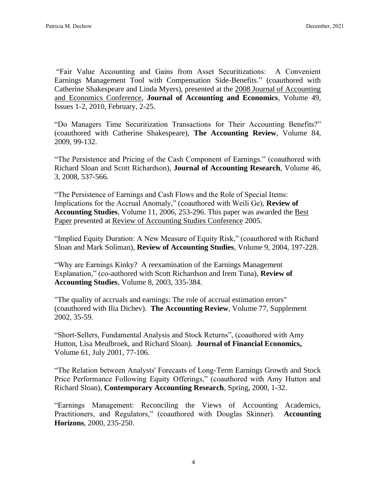"Fair Value Accounting and Gains from Asset Securitizations: A Convenient Earnings Management Tool with Compensation Side-Benefits." (coauthored with Catherine Shakespeare and Linda Myers), presented at the 2008 Journal of Accounting and Economics Conference, **Journal of Accounting and Economics**, Volume 49, Issues 1-2, 2010, February, 2-25.

"Do Managers Time Securitization Transactions for Their Accounting Benefits?" (coauthored with Catherine Shakespeare), **The Accounting Review**, Volume 84, 2009, 99-132.

"The Persistence and Pricing of the Cash Component of Earnings." (coauthored with Richard Sloan and Scott Richardson), **Journal of Accounting Research**, Volume 46, 3, 2008, 537-566.

"The Persistence of Earnings and Cash Flows and the Role of Special Items: Implications for the Accrual Anomaly," (coauthored with Weili Ge), **Review of Accounting Studies**, Volume 11, 2006, 253-296. This paper was awarded the Best Paper presented at Review of Accounting Studies Conference 2005.

"Implied Equity Duration: A New Measure of Equity Risk," (coauthored with Richard Sloan and Mark Soliman), **Review of Accounting Studies**, Volume 9, 2004, 197-228.

"Why are Earnings Kinky? A reexamination of the Earnings Management Explanation," (co-authored with Scott Richardson and Irem Tuna), **Review of Accounting Studies**, Volume 8, 2003, 335-384.

"The quality of accruals and earnings: The role of accrual estimation errors" (coauthored with Ilia Dichev). **The Accounting Review**, Volume 77, Supplement 2002, 35-59.

"Short-Sellers, Fundamental Analysis and Stock Returns", (coauthored with Amy Hutton, Lisa Meulbroek, and Richard Sloan). **Journal of Financial Economics,**  Volume 61, July 2001, 77-106.

"The Relation between Analysts' Forecasts of Long-Term Earnings Growth and Stock Price Performance Following Equity Offerings," (coauthored with Amy Hutton and Richard Sloan), **Contemporary Accounting Research**, Spring, 2000, 1-32.

"Earnings Management: Reconciling the Views of Accounting Academics, Practitioners, and Regulators," (coauthored with Douglas Skinner). **Accounting Horizons**, 2000, 235-250.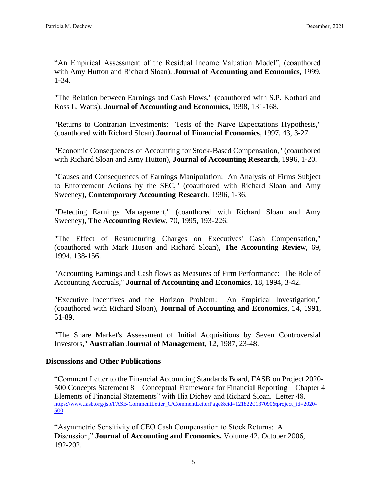"An Empirical Assessment of the Residual Income Valuation Model", (coauthored with Amy Hutton and Richard Sloan). **Journal of Accounting and Economics,** 1999, 1-34.

"The Relation between Earnings and Cash Flows," (coauthored with S.P. Kothari and Ross L. Watts). **Journal of Accounting and Economics,** 1998, 131-168.

"Returns to Contrarian Investments: Tests of the Naive Expectations Hypothesis," (coauthored with Richard Sloan) **Journal of Financial Economics**, 1997, 43, 3-27.

"Economic Consequences of Accounting for Stock-Based Compensation," (coauthored with Richard Sloan and Amy Hutton), **Journal of Accounting Research**, 1996, 1-20.

"Causes and Consequences of Earnings Manipulation: An Analysis of Firms Subject to Enforcement Actions by the SEC," (coauthored with Richard Sloan and Amy Sweeney), **Contemporary Accounting Research**, 1996, 1-36.

"Detecting Earnings Management," (coauthored with Richard Sloan and Amy Sweeney), **The Accounting Review**, 70, 1995, 193-226.

"The Effect of Restructuring Charges on Executives' Cash Compensation," (coauthored with Mark Huson and Richard Sloan), **The Accounting Review**, 69, 1994, 138-156.

"Accounting Earnings and Cash flows as Measures of Firm Performance: The Role of Accounting Accruals," **Journal of Accounting and Economics**, 18, 1994, 3-42.

"Executive Incentives and the Horizon Problem: An Empirical Investigation," (coauthored with Richard Sloan), **Journal of Accounting and Economics**, 14, 1991, 51-89.

"The Share Market's Assessment of Initial Acquisitions by Seven Controversial Investors," **Australian Journal of Management**, 12, 1987, 23-48.

## **Discussions and Other Publications**

"Comment Letter to the Financial Accounting Standards Board, FASB on Project 2020- 500 Concepts Statement 8 – Conceptual Framework for Financial Reporting – Chapter 4 Elements of Financial Statements" with Ilia Dichev and Richard Sloan. Letter 48. [https://www.fasb.org/jsp/FASB/CommentLetter\\_C/CommentLetterPage&cid=1218220137090&project\\_id=2020-](https://www.fasb.org/jsp/FASB/CommentLetter_C/CommentLetterPage&cid=1218220137090&project_id=2020-500) [500](https://www.fasb.org/jsp/FASB/CommentLetter_C/CommentLetterPage&cid=1218220137090&project_id=2020-500)

"Asymmetric Sensitivity of CEO Cash Compensation to Stock Returns: A Discussion," **Journal of Accounting and Economics,** Volume 42, October 2006, 192-202.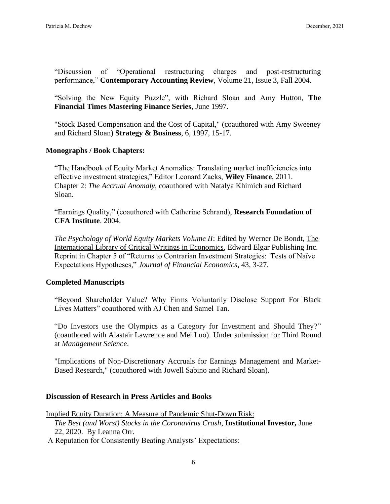"Discussion of "Operational restructuring charges and post-restructuring performance," **Contemporary Accounting Review**, Volume 21, Issue 3, Fall 2004.

"Solving the New Equity Puzzle", with Richard Sloan and Amy Hutton, **The Financial Times Mastering Finance Series**, June 1997.

"Stock Based Compensation and the Cost of Capital," (coauthored with Amy Sweeney and Richard Sloan) **Strategy & Business**, 6, 1997, 15-17.

## **Monographs / Book Chapters:**

"The Handbook of Equity Market Anomalies: Translating market inefficiencies into effective investment strategies," Editor Leonard Zacks, **Wiley Finance**, 2011. Chapter 2: *The Accrual Anomaly*, coauthored with Natalya Khimich and Richard Sloan.

"Earnings Quality," (coauthored with Catherine Schrand), **Research Foundation of CFA Institute**. 2004.

*The Psychology of World Equity Markets Volume II*: Edited by Werner De Bondt, The International Library of Critical Writings in Economics, Edward Elgar Publishing Inc. Reprint in Chapter 5 of "Returns to Contrarian Investment Strategies: Tests of Naïve Expectations Hypotheses," *Journal of Financial Economics*, 43, 3-27.

#### **Completed Manuscripts**

"Beyond Shareholder Value? Why Firms Voluntarily Disclose Support For Black Lives Matters" coauthored with AJ Chen and Samel Tan.

"Do Investors use the Olympics as a Category for Investment and Should They?" (coauthored with Alastair Lawrence and Mei Luo). Under submission for Third Round at *Management Science*.

"Implications of Non-Discretionary Accruals for Earnings Management and Market-Based Research," (coauthored with Jowell Sabino and Richard Sloan).

#### **Discussion of Research in Press Articles and Books**

Implied Equity Duration: A Measure of Pandemic Shut-Down Risk: *The Best (and Worst) Stocks in the Coronavirus Crash*, **Institutional Investor,** June 22, 2020. By Leanna Orr. A Reputation for Consistently Beating Analysts' Expectations: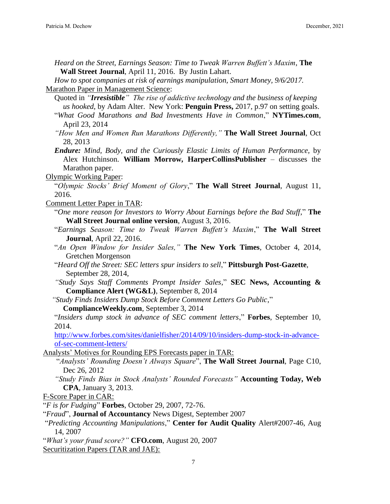*Heard on the Street, Earnings Season: Time to Tweak Warren Buffett's Maxim*, **The Wall Street Journal**, April 11, 2016. By Justin Lahart.

*How to spot companies at risk of earnings manipulation, Smart Money, 9/6/2017.* Marathon Paper in Management Science:

Quoted in *"Irresistible" The rise of addictive technology and the business of keeping us hooked*, by Adam Alter. New York: **Penguin Press,** 2017, p.97 on setting goals.

"*What Good Marathons and Bad Investments Have in Common*," **NYTimes.com**, April 23, 2014

*"How Men and Women Run Marathons Differently,"* **The Wall Street Journal**, Oct 28, 2013

*Endure: Mind, Body, and the Curiously Elastic Limits of Human Performance,* by Alex Hutchinson. **William Morrow, HarperCollinsPublisher** – discusses the Marathon paper.

Olympic Working Paper:

"*Olympic Stocks' Brief Moment of Glory*," **The Wall Street Journal**, August 11, 2016.

Comment Letter Paper in TAR:

"*One more reason for Investors to Worry About Earnings before the Bad Stuff*," **The Wall Street Journal online version**, August 3, 2016.

- "*Earnings Season: Time to Tweak Warren Buffett's Maxim*," **The Wall Street Journal**, April 22, 2016.
- "*An Open Window for Insider Sales,"* **The New York Times**, October 4, 2014, Gretchen Morgenson
- "*Heard Off the Street: SEC letters spur insiders to sell*," **Pittsburgh Post-Gazette**, September 28, 2014,
- *"Study Says Staff Comments Prompt Insider Sales*," **SEC News, Accounting & Compliance Alert (WG&L)**, September 8, 2014
- *"Study Finds Insiders Dump Stock Before Comment Letters Go Public*,"
	- **ComplianceWeekly.com**, September 3, 2014

"*Insiders dump stock in advance of SEC comment letters*," **Forbes**, September 10, 2014.

[http://www.forbes.com/sites/danielfisher/2014/09/10/insiders-dump-stock-in-advance](http://www.forbes.com/sites/danielfisher/2014/09/10/insiders-dump-stock-in-advance-of-sec-comment-letters/)[of-sec-comment-letters/](http://www.forbes.com/sites/danielfisher/2014/09/10/insiders-dump-stock-in-advance-of-sec-comment-letters/)

Analysts' Motives for Rounding EPS Forecasts paper in TAR:

- "*Analysts' Rounding Doesn't Always Square*", **The Wall Street Journal**, Page C10, Dec 26, 2012
- *"Study Finds Bias in Stock Analysts' Rounded Forecasts"* **Accounting Today, Web CPA**, January 3, 2013.

F-Score Paper in CAR:

"*F is for Fudging*" **Forbes**, October 29, 2007, 72-76.

"*Fraud*", **Journal of Accountancy** News Digest, September 2007

"*Predicting Accounting Manipulations*," **Center for Audit Quality** Alert#2007-46, Aug 14, 2007

"*What's your fraud score?"* **CFO.com**, August 20, 2007

Securitization Papers (TAR and JAE):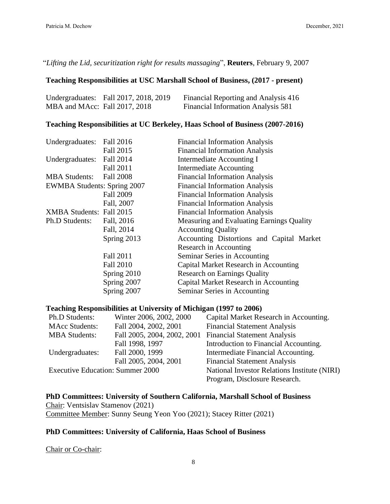"*Lifting the Lid, securitization right for results massaging*", **Reuters**, February 9, 2007

### **Teaching Responsibilities at USC Marshall School of Business, (2017 - present)**

|                               | Undergraduates: Fall 2017, 2018, 2019 | Financial Reporting and Analysis 416 |
|-------------------------------|---------------------------------------|--------------------------------------|
| MBA and MAcc: Fall 2017, 2018 |                                       | Financial Information Analysis 581   |

# **Teaching Responsibilities at UC Berkeley, Haas School of Business (2007-2016)**

| Undergraduates:                    | Fall 2016        | <b>Financial Information Analysis</b>     |
|------------------------------------|------------------|-------------------------------------------|
|                                    | Fall 2015        | <b>Financial Information Analysis</b>     |
| Undergraduates: Fall 2014          |                  | Intermediate Accounting I                 |
|                                    | Fall 2011        | Intermediate Accounting                   |
| <b>MBA</b> Students:               | <b>Fall 2008</b> | <b>Financial Information Analysis</b>     |
| <b>EWMBA Students: Spring 2007</b> |                  | <b>Financial Information Analysis</b>     |
|                                    | <b>Fall 2009</b> | <b>Financial Information Analysis</b>     |
|                                    | Fall, 2007       | <b>Financial Information Analysis</b>     |
| XMBA Students: Fall 2015           |                  | <b>Financial Information Analysis</b>     |
| Ph.D Students:                     | Fall, 2016       | Measuring and Evaluating Earnings Quality |
|                                    | Fall, 2014       | <b>Accounting Quality</b>                 |
|                                    | Spring 2013      | Accounting Distortions and Capital Market |
|                                    |                  | Research in Accounting                    |
|                                    | Fall 2011        | Seminar Series in Accounting              |
|                                    | <b>Fall 2010</b> | Capital Market Research in Accounting     |
|                                    | Spring 2010      | <b>Research on Earnings Quality</b>       |
|                                    | Spring 2007      | Capital Market Research in Accounting     |
|                                    | Spring 2007      | Seminar Series in Accounting              |

### **Teaching Responsibilities at University of Michigan (1997 to 2006)**

| Ph.D Students:                          | Winter 2006, 2002, 2000     | Capital Market Research in Accounting.       |
|-----------------------------------------|-----------------------------|----------------------------------------------|
| <b>MAcc Students:</b>                   | Fall 2004, 2002, 2001       | <b>Financial Statement Analysis</b>          |
| <b>MBA</b> Students:                    | Fall 2005, 2004, 2002, 2001 | <b>Financial Statement Analysis</b>          |
|                                         | Fall 1998, 1997             | Introduction to Financial Accounting.        |
| Undergraduates:                         | Fall 2000, 1999             | Intermediate Financial Accounting.           |
|                                         | Fall 2005, 2004, 2001       | <b>Financial Statement Analysis</b>          |
| <b>Executive Education: Summer 2000</b> |                             | National Investor Relations Institute (NIRI) |
|                                         |                             | Program, Disclosure Research.                |

**PhD Committees: University of Southern California, Marshall School of Business** Chair: Ventsislav Stamenov (2021) Committee Member: Sunny Seung Yeon Yoo (2021); Stacey Ritter (2021)

# **PhD Committees: University of California, Haas School of Business**

Chair or Co-chair: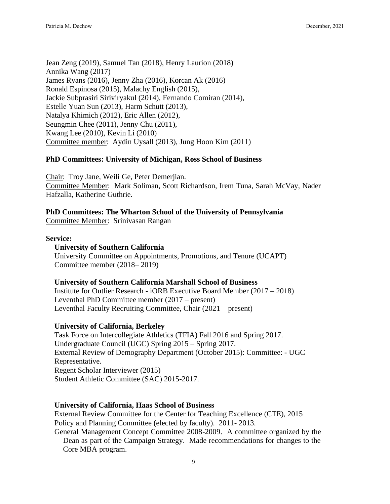Jean Zeng (2019), Samuel Tan (2018), Henry Laurion (2018) Annika Wang (2017) James Ryans (2016), Jenny Zha (2016), Korcan Ak (2016) Ronald Espinosa (2015), Malachy English (2015), Jackie Subprasiri Siriviryakul (2014), Fernando Comiran (2014), Estelle Yuan Sun (2013), Harm Schutt (2013), Natalya Khimich (2012), Eric Allen (2012), Seungmin Chee (2011), Jenny Chu (2011), Kwang Lee (2010), Kevin Li (2010) Committee member: Aydin Uysall (2013), Jung Hoon Kim (2011)

### **PhD Committees: University of Michigan, Ross School of Business**

Chair: Troy Jane, Weili Ge, Peter Demerjian. Committee Member: Mark Soliman, Scott Richardson, Irem Tuna, Sarah McVay, Nader Hafzalla, Katherine Guthrie.

### **PhD Committees: The Wharton School of the University of Pennsylvania**

Committee Member: Srinivasan Rangan

#### **Service:**

#### **University of Southern California**

University Committee on Appointments, Promotions, and Tenure (UCAPT) Committee member (2018– 2019)

#### **University of Southern California Marshall School of Business**

Institute for Outlier Research - iORB Executive Board Member (2017 – 2018) Leventhal PhD Committee member (2017 – present) Leventhal Faculty Recruiting Committee, Chair (2021 – present)

#### **University of California, Berkeley**

Task Force on Intercollegiate Athletics (TFIA) Fall 2016 and Spring 2017. Undergraduate Council (UGC) Spring 2015 – Spring 2017. External Review of Demography Department (October 2015): Committee: - UGC Representative. Regent Scholar Interviewer (2015) Student Athletic Committee (SAC) 2015-2017.

#### **University of California, Haas School of Business**

External Review Committee for the Center for Teaching Excellence (CTE), 2015 Policy and Planning Committee (elected by faculty). 2011- 2013.

General Management Concept Committee 2008-2009. A committee organized by the Dean as part of the Campaign Strategy. Made recommendations for changes to the Core MBA program.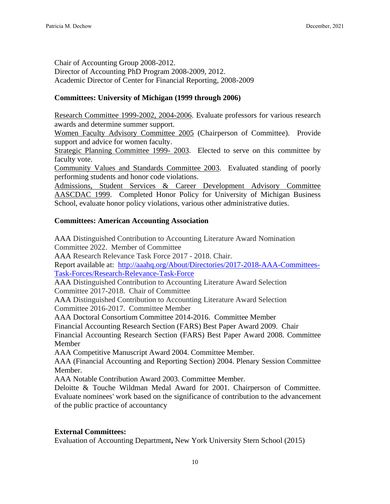Chair of Accounting Group 2008-2012. Director of Accounting PhD Program 2008-2009, 2012. Academic Director of Center for Financial Reporting, 2008-2009

# **Committees: University of Michigan (1999 through 2006)**

Research Committee 1999-2002, 2004-2006. Evaluate professors for various research awards and determine summer support.

Women Faculty Advisory Committee 2005 (Chairperson of Committee). Provide support and advice for women faculty.

Strategic Planning Committee 1999- 2003. Elected to serve on this committee by faculty vote.

Community Values and Standards Committee 2003. Evaluated standing of poorly performing students and honor code violations.

Admissions, Student Services & Career Development Advisory Committee AASCDAC 1999. Completed Honor Policy for University of Michigan Business School, evaluate honor policy violations, various other administrative duties.

# **Committees: American Accounting Association**

AAA Distinguished Contribution to Accounting Literature Award Nomination Committee 2022. Member of Committee

AAA Research Relevance Task Force 2017 - 2018. Chair.

Report available at: [http://aaahq.org/About/Directories/2017-2018-AAA-Committees-](http://aaahq.org/About/Directories/2017-2018-AAA-Committees-Task-Forces/Research-Relevance-Task-Force)[Task-Forces/Research-Relevance-Task-Force](http://aaahq.org/About/Directories/2017-2018-AAA-Committees-Task-Forces/Research-Relevance-Task-Force)

AAA Distinguished Contribution to Accounting Literature Award Selection Committee 2017-2018. Chair of Committee

AAA Distinguished Contribution to Accounting Literature Award Selection Committee 2016-2017. Committee Member

AAA Doctoral Consortium Committee 2014-2016. Committee Member

Financial Accounting Research Section (FARS) Best Paper Award 2009. Chair

Financial Accounting Research Section (FARS) Best Paper Award 2008. Committee Member

AAA Competitive Manuscript Award 2004. Committee Member.

AAA (Financial Accounting and Reporting Section) 2004. Plenary Session Committee Member.

AAA Notable Contribution Award 2003. Committee Member.

Deloitte & Touche Wildman Medal Award for 2001. Chairperson of Committee. Evaluate nominees' work based on the significance of contribution to the advancement of the public practice of accountancy

# **External Committees:**

Evaluation of Accounting Department**,** New York University Stern School (2015)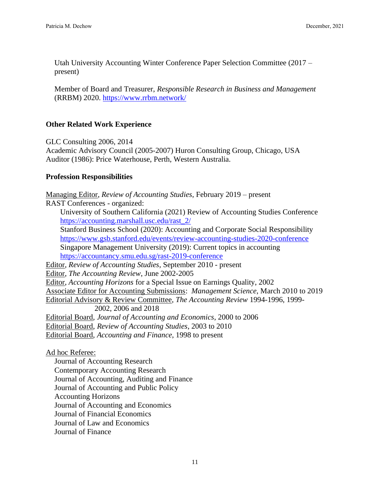Utah University Accounting Winter Conference Paper Selection Committee (2017 – present)

Member of Board and Treasurer, *Responsible Research in Business and Management* (RRBM) 2020.<https://www.rrbm.network/>

# **Other Related Work Experience**

GLC Consulting 2006, 2014

Academic Advisory Council (2005-2007) Huron Consulting Group, Chicago, USA Auditor (1986): Price Waterhouse, Perth, Western Australia.

# **Profession Responsibilities**

Managing Editor, *Review of Accounting Studies*, February 2019 – present RAST Conferences - organized: University of Southern California (2021) Review of Accounting Studies Conference [https://accounting.marshall.usc.edu/rast\\_2/](https://accounting.marshall.usc.edu/rast_2/) Stanford Business School (2020): Accounting and Corporate Social Responsibility <https://www.gsb.stanford.edu/events/review-accounting-studies-2020-conference> Singapore Management University (2019): Current topics in accounting <https://accountancy.smu.edu.sg/rast-2019-conference> Editor, *Review of Accounting Studies*, September 2010 - present Editor, *The Accounting Review*, June 2002-2005 Editor, *Accounting Horizons* for a Special Issue on Earnings Quality, 2002 Associate Editor for Accounting Submissions: *Management Science*, March 2010 to 2019 Editorial Advisory & Review Committee, *The Accounting Review* 1994-1996, 1999- 2002, 2006 and 2018 Editorial Board, *Journal of Accounting and Economics*, 2000 to 2006 Editorial Board, *Review of Accounting Studies*, 2003 to 2010 Editorial Board, *Accounting and Finance*, 1998 to present

Ad hoc Referee:

Journal of Accounting Research Contemporary Accounting Research Journal of Accounting, Auditing and Finance Journal of Accounting and Public Policy Accounting Horizons Journal of Accounting and Economics Journal of Financial Economics Journal of Law and Economics Journal of Finance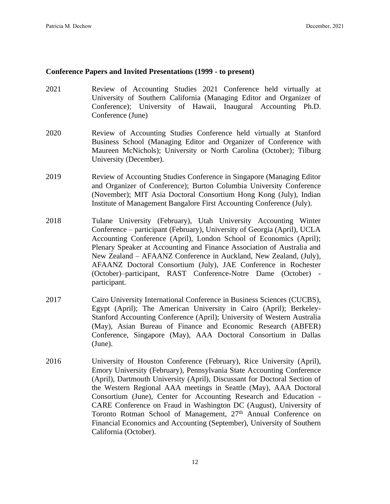### **Conference Papers and Invited Presentations (1999 - to present)**

- 2021 Review of Accounting Studies 2021 Conference held virtually at University of Southern California (Managing Editor and Organizer of Conference); University of Hawaii, Inaugural Accounting Ph.D. Conference (June)
- 2020 Review of Accounting Studies Conference held virtually at Stanford Business School (Managing Editor and Organizer of Conference with Maureen McNichols); University or North Carolina (October); Tilburg University (December).
- 2019 Review of Accounting Studies Conference in Singapore (Managing Editor and Organizer of Conference); Burton Columbia University Conference (November); MIT Asia Doctoral Consortium Hong Kong (July), Indian Institute of Management Bangalore First Accounting Conference (July).
- 2018 Tulane University (February), Utah University Accounting Winter Conference – participant (February), University of Georgia (April), UCLA Accounting Conference (April), London School of Economics (April); Plenary Speaker at Accounting and Finance Association of Australia and New Zealand – AFAANZ Conference in Auckland, New Zealand, (July), AFAANZ Doctoral Consortium (July), JAE Conference in Rochester (October)–participant, RAST Conference-Notre Dame (October) participant.
- 2017 Cairo University International Conference in Business Sciences (CUCBS), Egypt (April); The American University in Cairo (April); Berkeley-Stanford Accounting Conference (April); University of Western Australia (May), Asian Bureau of Finance and Economic Research (ABFER) Conference, Singapore (May), AAA Doctoral Consortium in Dallas (June).
- 2016 University of Houston Conference (February), Rice University (April), Emory University (February), Pennsylvania State Accounting Conference (April), Dartmouth University (April), Discussant for Doctoral Section of the Western Regional AAA meetings in Seattle (May), AAA Doctoral Consortium (June), Center for Accounting Research and Education - CARE Conference on Fraud in Washington DC (August), University of Toronto Rotman School of Management, 27<sup>th</sup> Annual Conference on Financial Economics and Accounting (September), University of Southern California (October).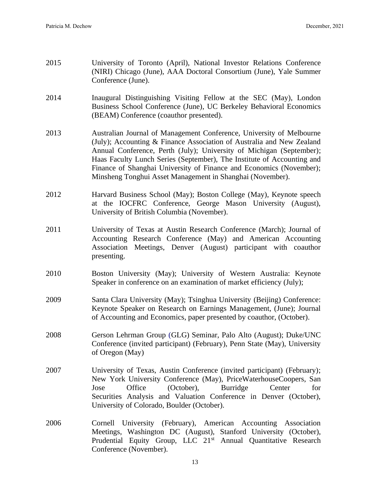- 2015 University of Toronto (April), National Investor Relations Conference (NIRI) Chicago (June), AAA Doctoral Consortium (June), Yale Summer Conference (June).
- 2014 Inaugural Distinguishing Visiting Fellow at the SEC (May), London Business School Conference (June), UC Berkeley Behavioral Economics (BEAM) Conference (coauthor presented).
- 2013 Australian Journal of Management Conference, University of Melbourne (July); Accounting & Finance Association of Australia and New Zealand Annual Conference, Perth (July); University of Michigan (September); Haas Faculty Lunch Series (September), The Institute of Accounting and Finance of Shanghai University of Finance and Economics (November); Minsheng Tonghui Asset Management in Shanghai (November).
- 2012 Harvard Business School (May); Boston College (May), Keynote speech at the IOCFRC Conference, George Mason University (August), University of British Columbia (November).
- 2011 University of Texas at Austin Research Conference (March); Journal of Accounting Research Conference (May) and American Accounting Association Meetings, Denver (August) participant with coauthor presenting.
- 2010 Boston University (May); University of Western Australia: Keynote Speaker in conference on an examination of market efficiency (July);
- 2009 Santa Clara University (May); Tsinghua University (Beijing) Conference: Keynote Speaker on Research on Earnings Management, (June); Journal of Accounting and Economics, paper presented by coauthor, (October).
- 2008 Gerson Lehrman Group (GLG) Seminar, Palo Alto (August); Duke/UNC Conference (invited participant) (February), Penn State (May), University of Oregon (May)
- 2007 University of Texas, Austin Conference (invited participant) (February); New York University Conference (May), PriceWaterhouseCoopers, San Jose Office (October), Burridge Center for Securities Analysis and Valuation Conference in Denver (October), University of Colorado, Boulder (October).
- 2006 Cornell University (February), American Accounting Association Meetings, Washington DC (August), Stanford University (October), Prudential Equity Group, LLC 21<sup>st</sup> Annual Quantitative Research Conference (November).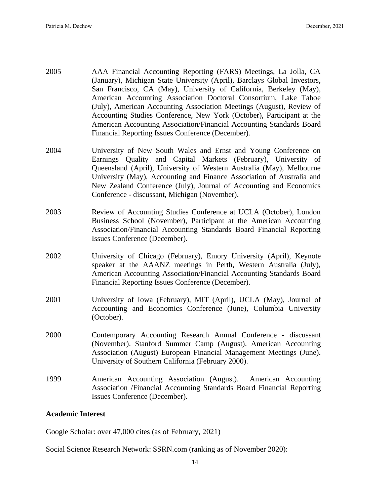- 2005 AAA Financial Accounting Reporting (FARS) Meetings, La Jolla, CA (January), Michigan State University (April), Barclays Global Investors, San Francisco, CA (May), University of California, Berkeley (May), American Accounting Association Doctoral Consortium, Lake Tahoe (July), American Accounting Association Meetings (August), Review of Accounting Studies Conference, New York (October), Participant at the American Accounting Association/Financial Accounting Standards Board Financial Reporting Issues Conference (December).
- 2004 University of New South Wales and Ernst and Young Conference on Earnings Quality and Capital Markets (February), University of Queensland (April), University of Western Australia (May), Melbourne University (May), Accounting and Finance Association of Australia and New Zealand Conference (July), Journal of Accounting and Economics Conference - discussant, Michigan (November).
- 2003 Review of Accounting Studies Conference at UCLA (October), London Business School (November), Participant at the American Accounting Association/Financial Accounting Standards Board Financial Reporting Issues Conference (December).
- 2002 University of Chicago (February), Emory University (April), Keynote speaker at the AAANZ meetings in Perth, Western Australia (July), American Accounting Association/Financial Accounting Standards Board Financial Reporting Issues Conference (December).
- 2001 University of Iowa (February), MIT (April), UCLA (May), Journal of Accounting and Economics Conference (June), Columbia University (October).
- 2000 Contemporary Accounting Research Annual Conference discussant (November). Stanford Summer Camp (August). American Accounting Association (August) European Financial Management Meetings (June). University of Southern California (February 2000).
- 1999 American Accounting Association (August). American Accounting Association /Financial Accounting Standards Board Financial Reporting Issues Conference (December).

## **Academic Interest**

Google Scholar: over 47,000 cites (as of February, 2021)

Social Science Research Network: SSRN.com (ranking as of November 2020):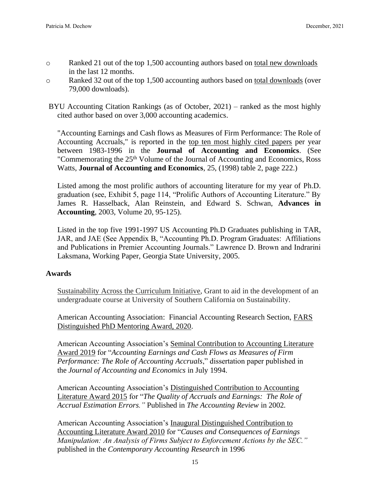- o Ranked 21 out of the top 1,500 accounting authors based on total new downloads in the last 12 months.
- o Ranked 32 out of the top 1,500 accounting authors based on total downloads (over 79,000 downloads).

BYU Accounting Citation Rankings (as of October, 2021) – ranked as the most highly cited author based on over 3,000 accounting academics.

"Accounting Earnings and Cash flows as Measures of Firm Performance: The Role of Accounting Accruals," is reported in the top ten most highly cited papers per year between 1983-1996 in the **Journal of Accounting and Economics**. (See "Commemorating the 25th Volume of the Journal of Accounting and Economics, Ross Watts, **Journal of Accounting and Economics**, 25, (1998) table 2, page 222.)

Listed among the most prolific authors of accounting literature for my year of Ph.D. graduation (see, Exhibit 5, page 114, "Prolific Authors of Accounting Literature." By James R. Hasselback, Alan Reinstein, and Edward S. Schwan, **Advances in Accounting**, 2003, Volume 20, 95-125).

Listed in the top five 1991-1997 US Accounting Ph.D Graduates publishing in TAR, JAR, and JAE (See Appendix B, "Accounting Ph.D. Program Graduates: Affiliations and Publications in Premier Accounting Journals." Lawrence D. Brown and Indrarini Laksmana, Working Paper, Georgia State University, 2005.

# **Awards**

Sustainability Across the Curriculum Initiative, Grant to aid in the development of an undergraduate course at University of Southern California on Sustainability.

American Accounting Association: Financial Accounting Research Section, FARS Distinguished PhD Mentoring Award, 2020.

American Accounting Association's Seminal Contribution to Accounting Literature Award 2019 for "*Accounting Earnings and Cash Flows as Measures of Firm Performance: The Role of Accounting Accruals*," dissertation paper published in the *Journal of Accounting and Economics* in July 1994.

American Accounting Association's Distinguished Contribution to Accounting Literature Award 2015 for "*The Quality of Accruals and Earnings: The Role of Accrual Estimation Errors."* Published in *The Accounting Review* in 2002*.*

American Accounting Association's Inaugural Distinguished Contribution to Accounting Literature Award 2010 for "*Causes and Consequences of Earnings Manipulation: An Analysis of Firms Subject to Enforcement Actions by the SEC."*  published in the *Contemporary Accounting Research* in 1996